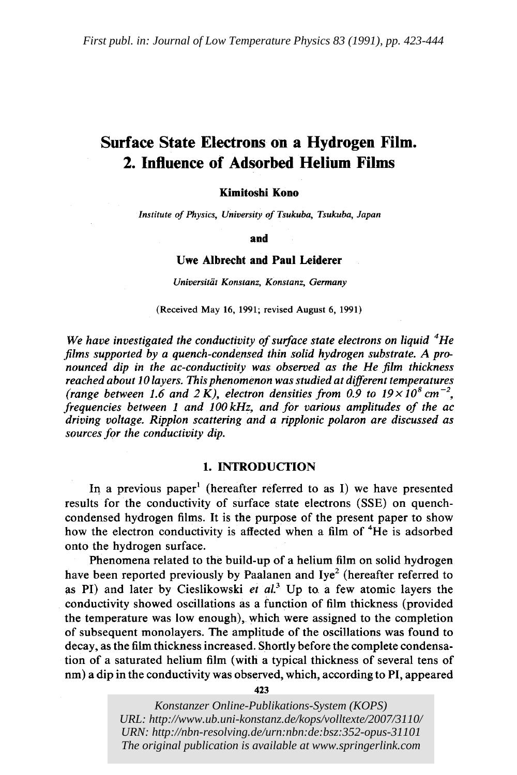# **Surface State Electrons on a Hydrogen Film. 2. Influence of Adsorbed Helium Films**

## **Kimitoshi Kono**

*Institute of Physics, University of Tsukuba, Tsukuba, Japan* 

**and** 

## **Uwe Albrecht and Paul Leiderer**

*Universitiit Konstanz, Konstanz, Germany* 

(Received May 16, 1991; revised August 6, 1991)

*We have investigated the conductivity of surface state electrons on liquid 4He films supported by a quench-condensed thin solid hydrogen substrate. A pronounced dip in the ac-conductivity was observed as the He film thickness reached about 10 layers. This phenomenon was studied at different temperatures*  (range between 1.6 and 2 K), electron densities from 0.9 to  $19 \times 10^8$  cm<sup>-2</sup>, *frequencies between 1 and IOOkHz, and for various amplitudes of the ac driving voltage. Ripplon scattering and a ripplonic polaron are discussed as sources for the conductivity dip.* 

#### 1. INTRODUCTION

In a previous paper<sup>1</sup> (hereafter referred to as I) we have presented results for the conductivity of surface state electrons (SSE) on quench condensed hydrogen films. It is the purpose of the present paper to show how the electron conductivity is affected when a film of <sup>4</sup>He is adsorbed onto the hydrogen surface.

Phenomena related to the build-up of a helium film on solid hydrogen have been reported previously by Paalanen and Iye<sup>2</sup> (hereafter referred to as PI) and later by Cieslikowski et al.<sup>3</sup> Up to a few atomic layers the conductivity showed oscillations as a function of film thickness (provided the temperature was low enough), which were assigned to the completion of subsequent monolayers. The amplitude of the oscillations was found to decay, as the film thickness increased. Shortly before the complete condensation of a saturated helium film (with a typical thickness of several tens of nm) a dip in the conductivity was observed, which, according to PI, appeared

423

*Konstanzer Online-Publikations-System (KOPS) URL: [http://www.ub.uni-konstanz.de/kops/volltexte/2007/3110](http://www.ub.uni-konstanz.de/kops/volltexte/2007/3110/)/ URN:<http://nbn-resolving.de/urn:nbn:de:bsz:352-opus-31101> The original publication is available at <www.springerlink.com>*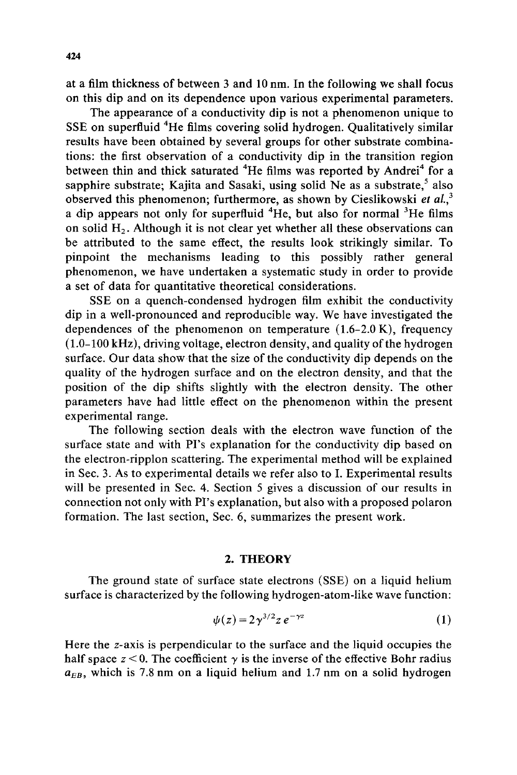at a film thickness of between 3 and 10 nm. In the following we shall focus on this dip and on its dependence upon various experimental parameters.

The appearance of a conductivity dip is not a phenomenon unique to SSE on superfluid <sup>4</sup>He films covering solid hydrogen. Qualitatively similar results have been obtained by several groups for other substrate combinations: the first observation of a conductivity dip in the transition region between thin and thick saturated <sup>4</sup>He films was reported by Andrei<sup>4</sup> for a sapphire substrate; Kajita and Sasaki, using solid Ne as a substrate,  $5$  also observed this phenomenon; furthermore, as shown by Cieslikowski *et al., 3*  a dip appears not only for superfluid  ${}^{4}$ He, but also for normal  ${}^{3}$ He films on solid  $H<sub>2</sub>$ . Although it is not clear yet whether all these observations can be attributed to the same effect, the results look strikingly similar. To pinpoint the mechanisms leading to this possibly rather general phenomenon, we have undertaken a systematic study in order to provide a set of data for quantitative theoretical considerations.

SSE on a quench-condensed hydrogen film exhibit the conductivity dip in a well-pronounced and reproducible way. We have investigated the dependences of the phenomenon on temperature  $(1.6-2.0 \text{ K})$ , frequency (1.0-100 kHz), driving voltage, electron density, and quality of the hydrogen surface. Our data show that the size of the conductivity dip depends on the quality of the hydrogen surface and on the electron density, and that the position of the dip shifts slightly with the electron density. The other parameters have had little effect on the phenomenon within the present experimental range.

The following section deals with the electron wave function of the surface state and with PI's explanation for the conductivity dip based on the electron-ripplon scattering. The experimental method will be explained in Sec. 3. As to experimental details we refer also to I. Experimental results will be presented in Sec. 4. Section 5 gives a discussion of our results in connection not only with PI's explanation, but also with a proposed polaron formation. The last section, Sec. 6, summarizes the present work.

#### **2. THEORY**

The ground state of surface state electrons (SSE) on a liquid helium surface is characterized by the following hydrogen-atom-like wave function:

$$
\psi(z) = 2\gamma^{3/2} z e^{-\gamma z} \tag{1}
$$

Here the z-axis is perpendicular to the surface and the liquid occupies the half space  $z < 0$ . The coefficient  $\gamma$  is the inverse of the effective Bohr radius  $a_{EB}$ , which is 7.8 nm on a liquid helium and 1.7 nm on a solid hydrogen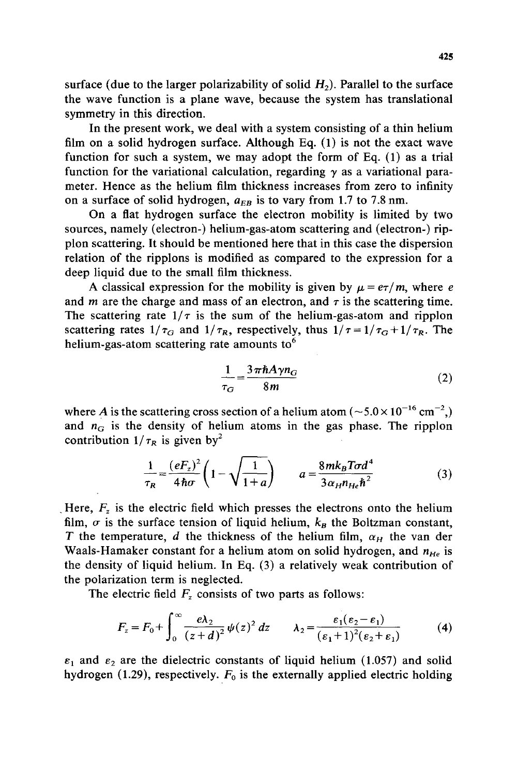surface (due to the larger polarizability of solid  $H_2$ ). Parallel to the surface the wave function is a plane wave, because the system has translational symmetry in this direction.

In the present work, we deal with a system consisting of a thin helium film on a solid hydrogen surface. Although Eq. (1) is not the exact wave function for such a system, we may adopt the form of Eq. (1) as a trial function for the variational calculation, regarding  $\gamma$  as a variational parameter. Hence as the helium film thickness increases from zero to infinity on a surface of solid hydrogen,  $a_{EB}$  is to vary from 1.7 to 7.8 nm.

On a flat hydrogen surface the electron mobility is limited by two sources, namely (electron-) helium-gas-atom scattering and (electron-) ripplon scattering. It should be mentioned here that in this case the dispersion relation of the ripplons is modified as compared to the expression for a deep liquid due to the small film thickness.

A classical expression for the mobility is given by  $\mu = e\tau/m$ , where e and *m* are the charge and mass of an electron, and  $\tau$  is the scattering time. The scattering rate  $1/\tau$  is the sum of the helium-gas-atom and ripplon scattering rates  $1/\tau_G$  and  $1/\tau_R$ , respectively, thus  $1/\tau = 1/\tau_G + 1/\tau_R$ . The helium-gas-atom scattering rate amounts to $<sup>6</sup>$ </sup>

$$
\frac{1}{\tau_G} = \frac{3\pi\hbar A \gamma n_G}{8m} \tag{2}
$$

where A is the scattering cross section of a helium atom ( $\sim 5.0 \times 10^{-16}$  cm<sup>-2</sup>,) and  $n_G$  is the density of helium atoms in the gas phase. The ripplon contribution  $1/\tau_R$  is given by<sup>2</sup>

$$
\frac{1}{\tau_R} = \frac{(eF_z)^2}{4\hbar\sigma} \left(1 - \sqrt{\frac{1}{1+a}}\right) \qquad a = \frac{8mk_B T\sigma d^4}{3\alpha_H n_{He}\hbar^2} \tag{3}
$$

Here,  $F<sub>z</sub>$  is the electric field which presses the electrons onto the helium film,  $\sigma$  is the surface tension of liquid helium,  $k_B$  the Boltzman constant, T the temperature, d the thickness of the helium film,  $\alpha_H$  the van der Waals-Hamaker constant for a helium atom on solid hydrogen, and  $n_{He}$  is the density of liquid helium. In Eq. (3) a relatively weak contribution of the polarization term is neglected.

The electric field  $F_z$  consists of two parts as follows:

$$
F_z = F_0 + \int_0^\infty \frac{e\lambda_2}{(z+d)^2} \psi(z)^2 dz \qquad \lambda_2 = \frac{\varepsilon_1(\varepsilon_2 - \varepsilon_1)}{(\varepsilon_1 + 1)^2(\varepsilon_2 + \varepsilon_1)} \tag{4}
$$

 $\varepsilon_1$  and  $\varepsilon_2$  are the dielectric constants of liquid helium (1.057) and solid hydrogen (1.29), respectively.  $F_0$  is the externally applied electric holding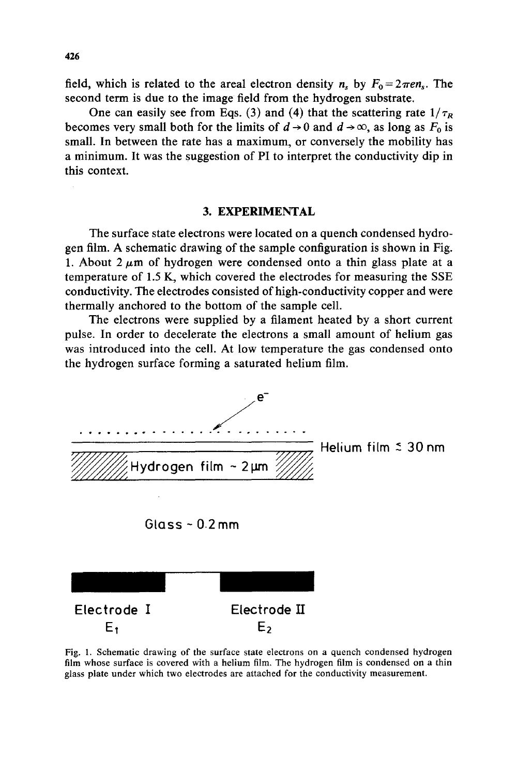field, which is related to the areal electron density  $n_s$  by  $F_0 = 2\pi en_s$ . The second term is due to the image field from the hydrogen substrate.

One can easily see from Eqs. (3) and (4) that the scattering rate  $1/\tau_R$ becomes very small both for the limits of  $d \rightarrow 0$  and  $d \rightarrow \infty$ , as long as  $F_0$  is small. In between the rate has a maximum, or conversely the mobility has a minimum. It was the suggestion of PI to interpret the conductivity dip in this context.

## **3. EXPERIMENTAL**

The surface state electrons were located on a quench condensed hydrogen film. A schematic drawing of the sample configuration is shown in Fig. 1. About  $2 \mu m$  of hydrogen were condensed onto a thin glass plate at a temperature of 1.5 K, which covered the electrodes for measuring the SSE conductivity. The electrodes consisted of high-conductivity copper and were thermally anchored to the bottom of the sample cell.

The electrons were supplied by a filament heated by a short current pulse. In order to decelerate the electrons a small amount of helium gas was introduced into the cell. At low temperature the gas condensed onto the hydrogen surface forming a saturated helium film.



Fig. 1. Schematic drawing of the surface state electrons on a quench condensed hydrogen film whose surface is covered with a helium film. The hydrogen film is condensed on a thin glass plate under which two electrodes are attached for the conductivity measurement.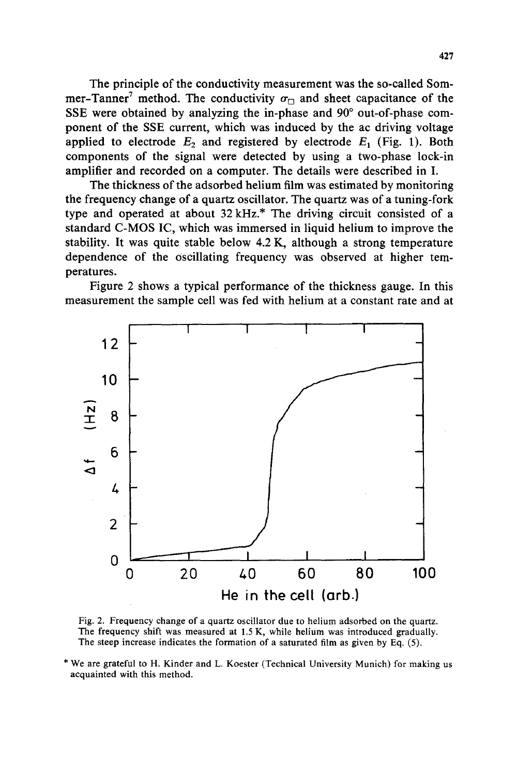The principle of the conductivity measurement was the so-called Sommer-Tanner<sup>7</sup> method. The conductivity  $\sigma_{\Box}$  and sheet capacitance of the SSE were obtained by analyzing the in-phase and 90° out-of-phase component of the SSE current, which was induced by the ac driving voltage applied to electrode  $E_2$  and registered by electrode  $E_1$  (Fig. 1). Both components of the signal were detected by using a two-phase lock-in amplifier and recorded on a computer. The details were described in I.

The thickness of the adsorbed helium film was estimated by monitoring the frequency change of a quartz oscillator. The quartz was of a tuning-fork type and operated at about 32 kHz.\* The driving circuit consisted of a standard C-MOS IC, which was immersed in liquid helium to improve the stability. It was quite stable below 4.2 K, although a strong temperature dependence of the Oscillating frequency was observed at higher temperatures.

Figure 2 shows a typical performance of the thickness gauge. In this measurement the sample cell was fed with helium at a constant rate and at



Fig. 2. Frequency change of a quartz oscillator due to helium adsorbed on the quartz. The frequency shift was measured at 1.5 K, while helium was introduced gradually. The steep increase indicates the formation of a saturated film as given by Eq. (5).

\* We are grateful to H. Kinder and L. Koester (Technical University Munich) for making us acquainted with this method.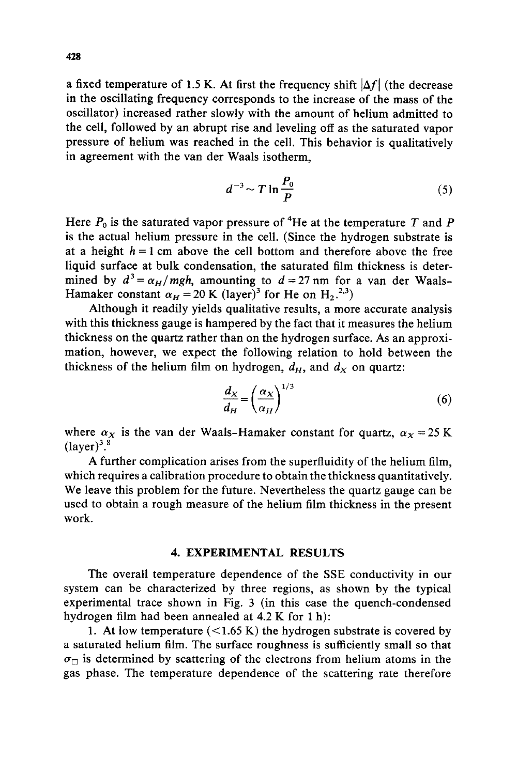a fixed temperature of 1.5 K. At first the frequency shift  $|\Delta f|$  (the decrease in the oscillating frequency corresponds to the increase of the mass of the oscillator) increased rather slowly with the amount of helium admitted to the cell, followed by an abrupt rise and leveling off as the saturated vapor pressure of helium was reached in the cell. This behavior is qualitatively in agreement with the van der Waals isotherm,

$$
d^{-3} \sim T \ln \frac{P_0}{P} \tag{5}
$$

Here  $P_0$  is the saturated vapor pressure of <sup>4</sup>He at the temperature T and P is the actual helium pressure in the cell. (Since the hydrogen substrate is at a height  $h = 1$  cm above the cell bottom and therefore above the free liquid surface at bulk condensation, the saturated film thickness is determined by  $d^3 = \alpha_H/mgh$ , amounting to  $d = 27$  nm for a van der Waals-Hamaker constant  $\alpha_H = 20$  K (layer)<sup>3</sup> for He on H<sub>2</sub>.<sup>2,3</sup>)

Although it readily yields qualitative results, a more accurate analysis with this thickness gauge is hampered by the fact that it measures the helium thickness on the quartz rather than on the hydrogen surface. As an approximation, however, we expect the following relation to hold between the thickness of the helium film on hydrogen,  $d_H$ , and  $d_X$  on quartz:

$$
\frac{d_X}{d_H} = \left(\frac{\alpha_X}{\alpha_H}\right)^{1/3} \tag{6}
$$

where  $\alpha_X$  is the van der Waals-Hamaker constant for quartz,  $\alpha_X = 25$  K  $(laver)^3$ .<sup>8</sup>

A further complication arises from the superfluidity of the helium film, which requires a calibration procedure to obtain the thickness quantitatively. We leave this problem for the future. Nevertheless the quartz gauge can be used to obtain a rough measure of the helium film thickness in the present work.

## 4. EXPERIMENTAL RESULTS

The overall temperature dependence of the SSE conductivity in our system can be characterized by three regions, as shown by the typical experimental trace shown in Fig. 3 (in this case the quench-condensed hydrogen film had been annealed at 4.2 K for 1 h):

1. At low temperature  $(<1.65 \text{ K})$  the hydrogen substrate is covered by a saturated helium film. The surface roughness is sufficiently small so that  $\sigma_{\square}$  is determined by scattering of the electrons from helium atoms in the gas phase. The temperature dependence of the scattering rate therefore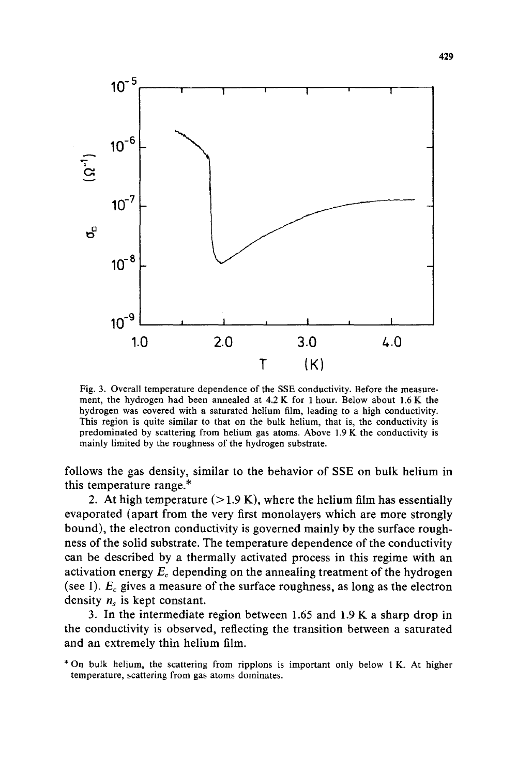

Fig. 3. Overall temperature dependence of the SSE conductivity. Before the measurement, the hydrogen had been annealed at 4.2 K for 1 hour. Below about 1.6 K the hydrogen was covered with a saturated helium film, leading to a high conductivity. This region is quite similar to that on the bulk helium, that is, the conductivity is predominated by scattering from helium gas atoms. Above 1.9 K the conductivity is mainly limited by the roughness of the hydrogen substrate.

follows the gas density, similar to the behavior of SSE on bulk helium in this temperature range.\*

2. At high temperature  $(>1.9 K)$ , where the helium film has essentially evaporated (apart from the very first monolayers which are more strongly bound), the electron conductivity is governed mainly by the surface roughness of the solid substrate. The temperature dependence of the conductivity can be described by a thermally activated process in this regime with an activation energy  $E_c$  depending on the annealing treatment of the hydrogen (see I).  $E_c$  gives a measure of the surface roughness, as long as the electron density  $n_s$  is kept constant.

3. In the intermediate region between 1.65 and 1.9 K a sharp drop in the conductivity is observed, reflecting the transition between a saturated and an extremely thin helium film.

<sup>\*</sup> On bulk helium, the scattering from ripplons is important only below 1 K. At higher temperature, scattering from gas atoms dominates.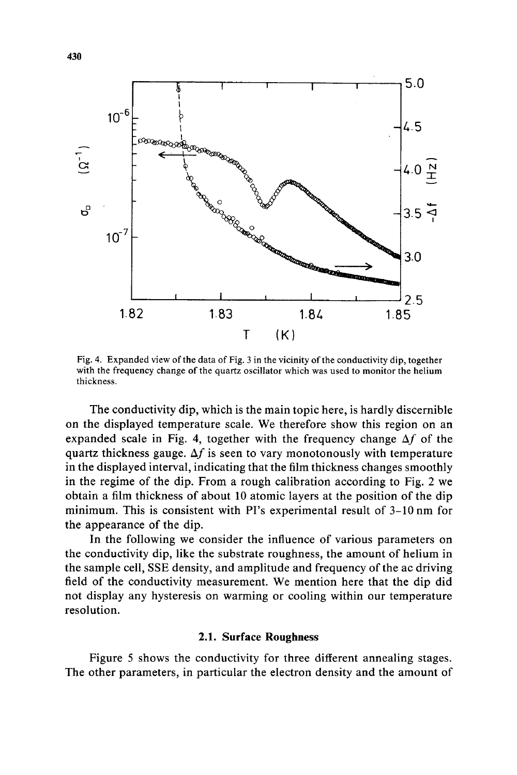

Fig. 4. Expanded view of the data of Fig. 3 in the vicinity of the conductivity dip, together with the frequency change of the quartz oscillator which was used to monitor the helium thickness.

The conductivity dip, which is the main topic here, is hardly discernible on the displayed temperature scale. We therefore show this region on an expanded scale in Fig. 4, together with the frequency change  $\Delta f$  of the quartz thickness gauge.  $\Delta f$  is seen to vary monotonously with temperature in the displayed interval, indicating that the film thickness changes smoothly in the regime of the dip. From a rough calibration according to Fig. 2 we obtain a film thickness of about 10 atomic layers at the position of the dip minimum. This is consistent with PI's experimental result of 3-10 nm for the appearance of the dip.

In the following we consider the influence of various parameters on the conductivity dip, like the substrate roughness, the amount of helium in the sample cell, SSE density, and amplitude and frequency of the ac driving field of the conductivity measurement. We mention here that the dip did not display any hysteresis on warming or cooling within our temperature resolution.

#### **2.1. Surface Roughness**

Figure 5 shows the conductivity for three different annealing stages. The other parameters, in particular the electron density and the amount of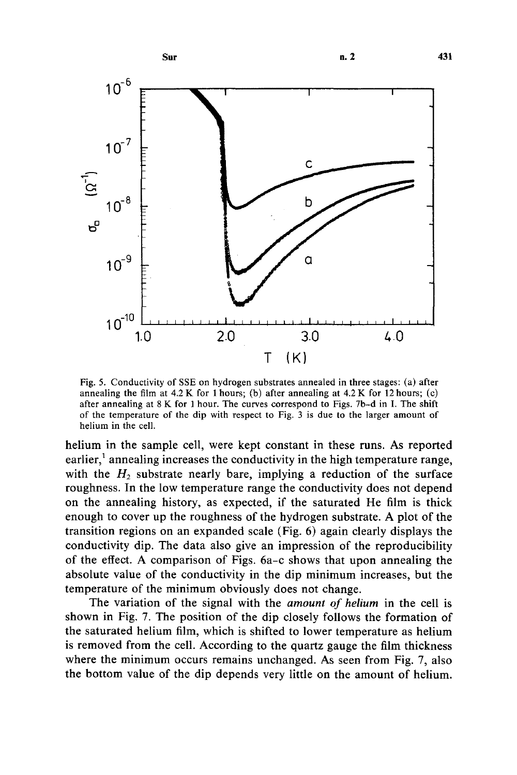

Fig. 5. Conductivity of SSE on hydrogen substrates annealed in three stages: (a) after annealing the film at  $4.2 \text{ K}$  for 1 hours; (b) after annealing at  $4.2 \text{ K}$  for 12 hours; (c) after annealing at 8 K for 1 hour. The curves correspond to Figs. 7b-d in I. The shift of the temperature of the dip with respect to Fig. 3 is due to the larger amount of helium in the cell.

helium in the sample cell, were kept constant in these runs. As reported earlier, $<sup>1</sup>$  annealing increases the conductivity in the high temperature range,</sup> with the  $H_2$  substrate nearly bare, implying a reduction of the surface roughness. In the low temperature range the conductivity does not depend on the annealing history, as expected, if the saturated He film is thick enough to cover up the roughness of the hydrogen substrate. A plot of the transition regions on an expanded scale (Fig. 6) again clearly displays the conductivity dip. The data also give an impression of the reproducibility of the effect. A comparison of Figs. 6a-c shows that upon annealing the absolute value of the conductivity in the dip minimum increases, but the temperature of the minimum obviously does not change.

The variation of the signal with the *amount of helium* in the cell is shown in Fig. 7. The position of the dip closely follows the formation of the saturated helium film, which is shifted to lower temperature as helium is removed from the cell. According to the quartz gauge the film thickness where the minimum occurs remains unchanged. As seen from Fig. 7, also the bottom value of the dip depends very little on the amount of helium.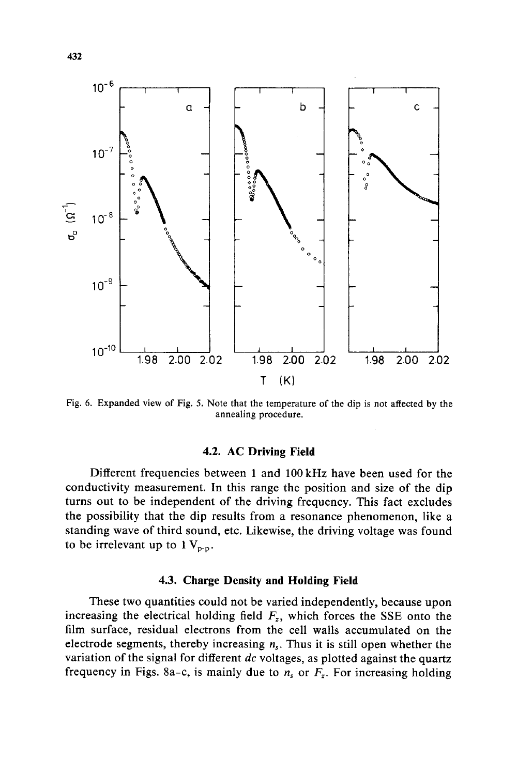

Fig. 6. Expanded view of Fig. 5. Note that the temperature of the dip is not affected by the annealing procedure.

## **4.2. AC Driving Field**

Different frequencies between 1 and 100 kHz have been used for the conductivity measurement. In this range the position and size of the dip turns out to be independent of the driving frequency. This fact excludes the possibility that the dip results from a resonance phenomenon, like a standing wave of third sound, etc. Likewise, the driving voltage was found to be irrelevant up to  $1 V_{p-p}$ .

#### **4.3. Charge Density and Holding Field**

These two quantities could not be varied independently, because upon increasing the electrical holding field  $F_z$ , which forces the SSE onto the film surface, residual electrons from the cell walls accumulated on the electrode segments, thereby increasing  $n<sub>s</sub>$ . Thus it is still open whether the variation of the signal for different *dc* voltages, as plotted against the quartz frequency in Figs. 8a-c, is mainly due to  $n<sub>s</sub>$  or  $F<sub>z</sub>$ . For increasing holding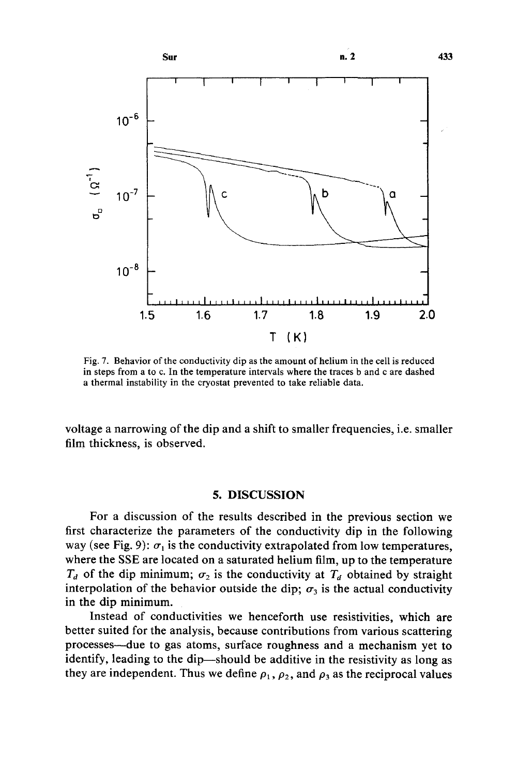

Fig. 7. Behavior of the conductivity dip as the amount of helium in the cell is reduced in steps from a to c. In the temperature intervals where the traces b and c are dashed a thermal instability in the cryostat prevented to take reliable data.

voltage a narrowing of the dip and a shift to smaller frequencies, i.e. smaller film thickness, is observed.

## 5. DISCUSSION

For a discussion of the results described in the previous section we first characterize the parameters of the conductivity dip in the following way (see Fig. 9):  $\sigma_1$  is the conductivity extrapolated from low temperatures, where the SSE are located on a saturated helium film, up to the temperature  $T_d$  of the dip minimum;  $\sigma_2$  is the conductivity at  $T_d$  obtained by straight interpolation of the behavior outside the dip;  $\sigma_3$  is the actual conductivity in the dip minimum.

Instead of conductivities we henceforth use resistivities, which are better suited for the analysis, because contributions from various scattering processes--due to gas atoms, surface roughness and a mechanism yet to identify, leading to the dip—should be additive in the resistivity as long as they are independent. Thus we define  $\rho_1$ ,  $\rho_2$ , and  $\rho_3$  as the reciprocal values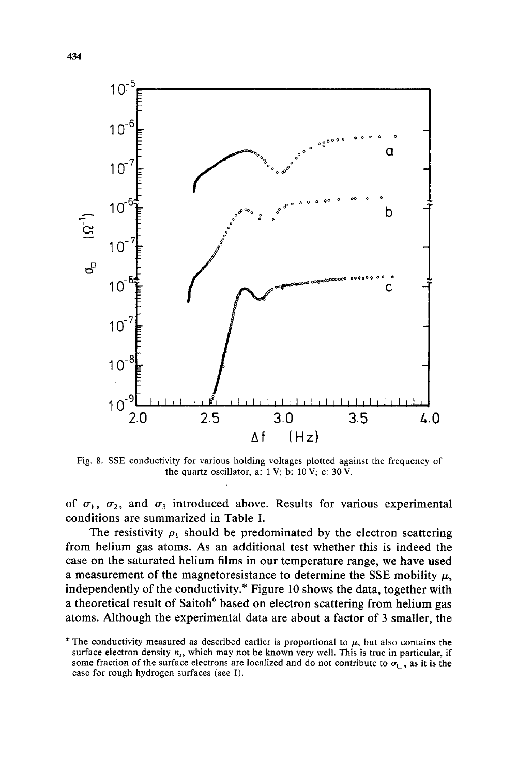

Fig. 8. SSE conductivity for various holding voltages plotted against the frequency of the quartz oscillator, a:  $1 \text{ V}$ ; b:  $10 \text{ V}$ ; c:  $30 \text{ V}$ .

of  $\sigma_1$ ,  $\sigma_2$ , and  $\sigma_3$  introduced above. Results for various experimental conditions are summarized in Table I.

The resistivity  $\rho_1$  should be predominated by the electron scattering from helium gas atoms. As an additional test whether this is indeed the case on the saturated helium films in our temperature range, we have used a measurement of the magnetoresistance to determine the SSE mobility  $\mu$ , independently of the conductivity.\* Figure 10 shows the data, together with a theoretical result of Saitoh<sup>6</sup> based on electron scattering from helium gas atoms. Although the experimental data are about a factor of 3 smaller, the

<sup>\*</sup> The conductivity measured as described earlier is proportional to  $\mu$ , but also contains the surface electron density  $n_s$ , which may not be known very well. This is true in particular, if some fraction of the surface electrons are localized and do not contribute to  $\sigma_{\Box}$ , as it is the case for rough hydrogen surfaces (see I).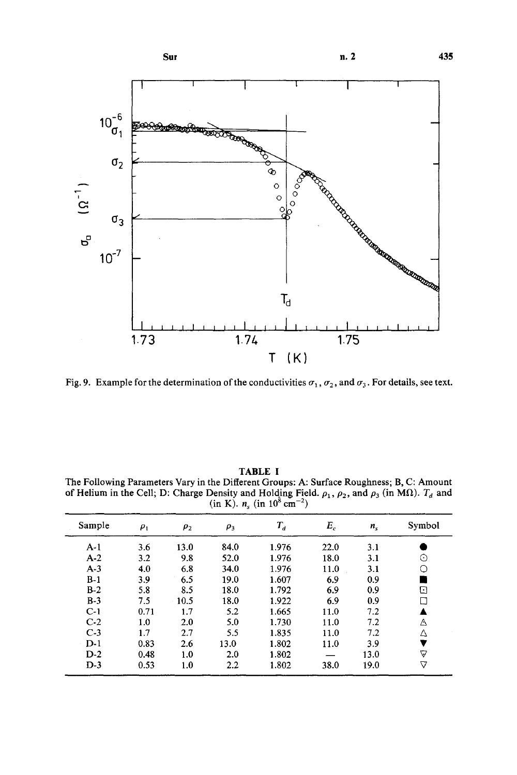

Fig. 9. Example for the determination of the conductivities  $\sigma_1$ ,  $\sigma_2$ , and  $\sigma_3$ . For details, see text.

| $(m \mathbf{v}, u_{\epsilon})$ (in to can |          |          |          |         |       |         |        |
|-------------------------------------------|----------|----------|----------|---------|-------|---------|--------|
| Sample                                    | $\rho_1$ | $\rho_2$ | $\rho_3$ | $T_{d}$ | $E_c$ | $n_{s}$ | Symbol |
| $A-1$                                     | 3.6      | 13.0     | 84.0     | 1.976   | 22.0  | 3.1     |        |
| $A-2$                                     | 3.2      | 9.8      | 52.0     | 1.976   | 18.0  | 3.1     | ⊙      |
| $A-3$                                     | 4.0      | 6.8      | 34.0     | 1.976   | 11.0  | 3.1     | О      |
| $B-1$                                     | 3.9      | 6.5      | 19.0     | 1.607   | 6.9   | 0.9     |        |
| $B-2$                                     | 5.8      | 8.5      | 18.0     | 1.792   | 6.9   | 0.9     | ⊡      |
| $B-3$                                     | 7.5      | 10.5     | 18.0     | 1.922   | 6.9   | 0.9     | □      |
| $C-1$                                     | 0.71     | 1.7      | 5.2      | 1.665   | 11.0  | 7.2     |        |
| $C-2$                                     | 1.0      | 2.0      | 5.0      | 1.730   | 11.0  | 7.2     | Δ      |
| $C-3$                                     | 1.7      | 2.7      | 5.5      | 1.835   | 11.0  | 7.2     | Δ      |
| $D-1$                                     | 0.83     | 2.6      | 13.0     | 1.802   | 11.0  | 3.9     | ▼      |
| $D-2$                                     | 0.48     | 1.0      | 2.0      | 1.802   |       | 13.0    | Δ      |
| $D-3$                                     | 0.53     | 1.0      | 2.2      | 1.802   | 38.0  | 19.0    | ▽      |
|                                           |          |          |          |         |       |         |        |

TABLE I The Following Parameters Vary in the Different Groups: A: Surface Roughness; B, C: Amount of Helium in the Cell; D: Charge Density and Holding Field.  $\rho_1$ ,  $\rho_2$ , and  $\rho_3$  (in M $\Omega$ ).  $T_d$  and (in K).  $n_s$  (in 10<sup>8</sup> cm<sup>-2</sup>)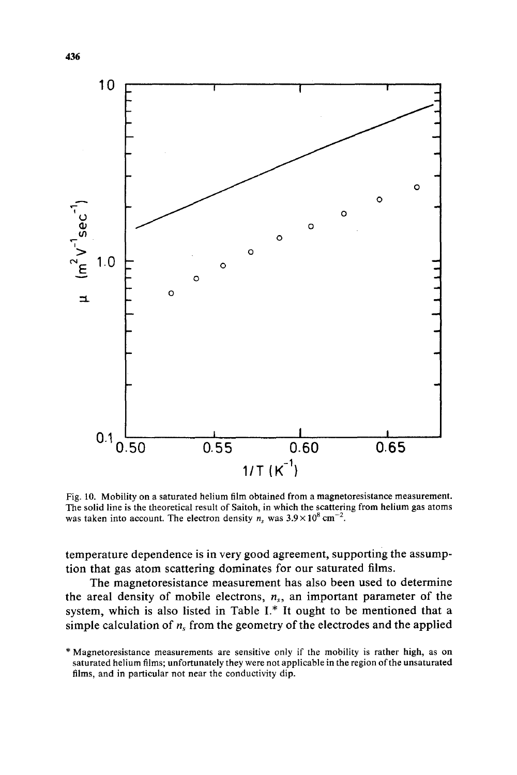

Fig. 10. Mobility on a saturated helium film obtained from a magnetoresistance measurement. The solid line is the theoretical result of Saitoh, in which the scattering from helium gas atoms was taken into account. The electron density  $n_s$  was  $3.9 \times 10^8$  cm<sup>-2</sup>.

temperature dependence is in very good agreement, supporting the assumption that gas atom scattering dominates for our saturated films.

The magnetoresistance measurement has also been used to determine the areal density of mobile electrons,  $n<sub>s</sub>$ , an important parameter of the system, which is also listed in Table  $I^*$ . It ought to be mentioned that a simple calculation of  $n<sub>s</sub>$  from the geometry of the electrodes and the applied

<sup>\*</sup> Magnetoresistance measurements are sensitive only if the mobility is rather high, as on saturated helium films; unfortunately they were not applicable in the region of the unsaturated films, and in particular not near the conductivity dip.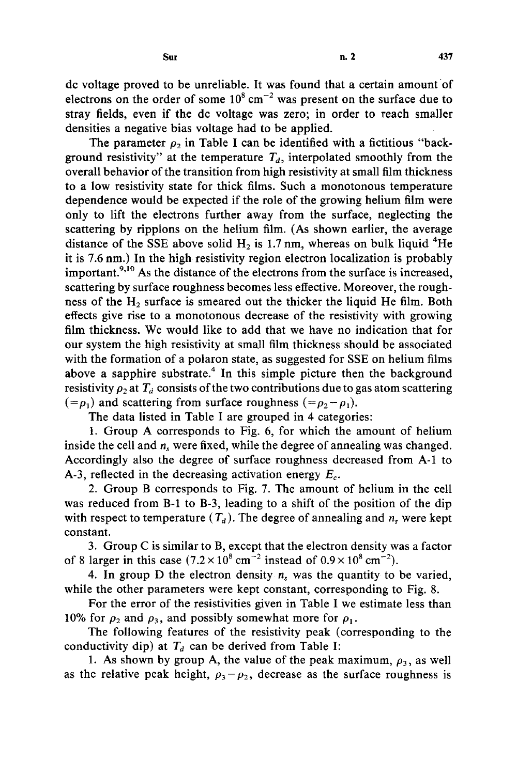dc voltage proved to be unreliable. It was found that a certain amount of electrons on the order of some  $10^8$  cm<sup>-2</sup> was present on the surface due to stray fields, even if the de voltage was zero; in order to reach smaller densities a negative bias voltage had to be applied.

The parameter  $\rho_2$  in Table I can be identified with a fictitious "background resistivity" at the temperature  $T_d$ , interpolated smoothly from the overall behavior of the transition from high resistivity at small film thickness to a low resistivity state for thick films. Such a monotonous temperature dependence would be expected if the role of the growing helium film were only to lift the electrons further away from the surface, neglecting the scattering by ripplons on the helium film. (As shown earlier, the average distance of the SSE above solid  $H_2$  is 1.7 nm, whereas on bulk liquid <sup>4</sup>He it is 7.6 nm.) In the high resistivity region electron localization is probably important. $^{9,10}$  As the distance of the electrons from the surface is increased, scattering by surface roughness becomes less effective. Moreover, the roughness of the  $H<sub>2</sub>$  surface is smeared out the thicker the liquid He film. Both effects give rise to a monotonous decrease of the resistivity with growing film thickness. We would like to add that we have no indication that for our system the high resistivity at small film thickness should be associated with the formation of a polaron state, as suggested for SSE on helium films above a sapphire substrate.<sup>4</sup> In this simple picture then the background resistivity  $\rho_2$  at  $T_d$  consists of the two contributions due to gas atom scattering  $(= \rho_1)$  and scattering from surface roughness  $(= \rho_2 - \rho_1)$ .

The data listed in Table I are grouped in 4 categories:

1. Group A corresponds to Fig. 6, for which the amount of helium inside the cell and  $n<sub>s</sub>$  were fixed, while the degree of annealing was changed. Accordingly also the degree of surface roughness decreased from A-1 to A-3, reflected in the decreasing activation energy  $E_c$ .

2. Group B corresponds to Fig. 7. The amount of helium in the cell was reduced from B-1 to B-3, leading to a shift of the position of the dip with respect to temperature  $(T_d)$ . The degree of annealing and  $n_s$  were kept constant.

3. Group C is similar to B, except that the electron density was a factor of 8 larger in this case  $(7.2 \times 10^8 \text{ cm}^{-2} \text{ instead of } 0.9 \times 10^8 \text{ cm}^{-2})$ .

4. In group D the electron density  $n<sub>s</sub>$  was the quantity to be varied, while the other parameters were kept constant, corresponding to Fig. 8.

For the error of the resistivities given in Table I we estimate less than 10% for  $\rho_2$  and  $\rho_3$ , and possibly somewhat more for  $\rho_1$ .

The following features of the resistivity peak (corresponding to the conductivity dip) at  $T_d$  can be derived from Table I:

1. As shown by group A, the value of the peak maximum,  $\rho_3$ , as well as the relative peak height,  $\rho_3 - \rho_2$ , decrease as the surface roughness is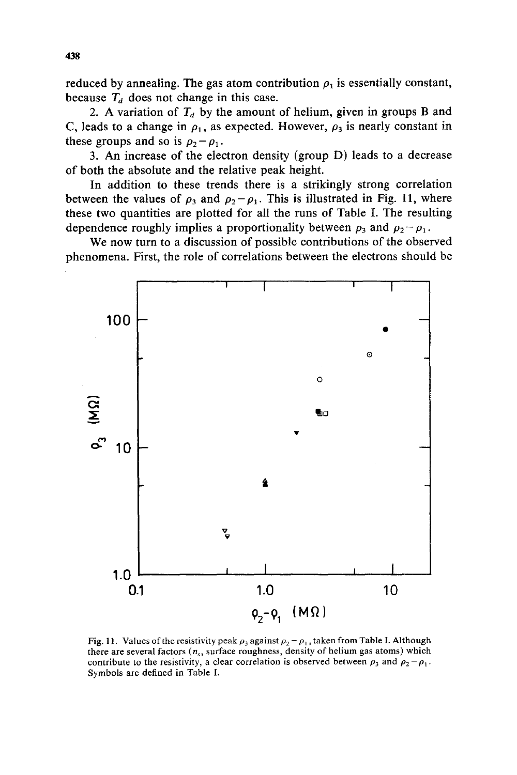reduced by annealing. The gas atom contribution  $\rho_1$  is essentially constant, because  $T_d$  does not change in this case.

2. A variation of  $T_d$  by the amount of helium, given in groups B and C, leads to a change in  $\rho_1$ , as expected. However,  $\rho_3$  is nearly constant in these groups and so is  $p_2-p_1$ .

3. An increase of the electron density (group D) leads to a decrease of both the absolute and the relative peak height.

In addition to these trends there is a strikingly strong correlation between the values of  $\rho_3$  and  $\rho_2-\rho_1$ . This is illustrated in Fig. 11, where these two quantities are plotted for all the runs of Table I. The resulting dependence roughly implies a proportionality between  $\rho_3$  and  $\rho_2 - \rho_1$ .

We now turn to a discussion of possible contributions of the observed phenomena. First, the role of correlations between the electrons should be



Fig. 11. Values of the resistivity peak  $\rho_3$  against  $\rho_2 - \rho_1$ , taken from Table I. Although there are several factors  $(n_s, s)$  surface roughness, density of helium gas atoms) which contribute to the resistivity, a clear correlation is observed between  $p_3$  and  $p_2-p_1$ . Symbols are defined in Table I.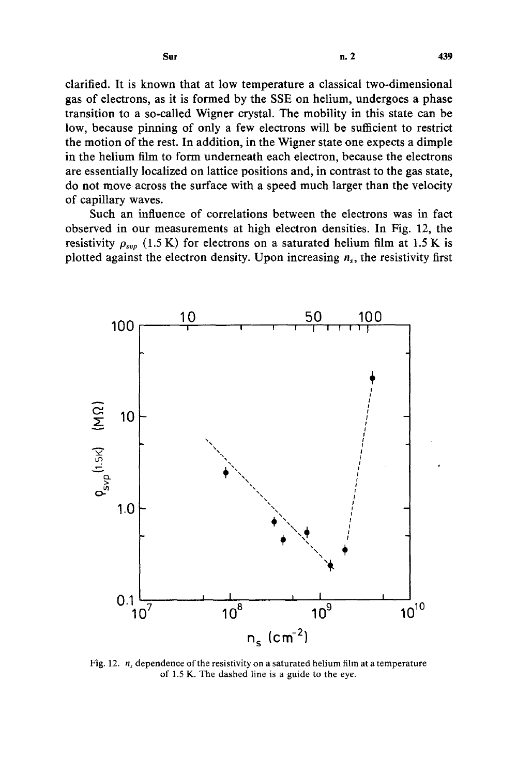clarified. It is known that at low temperature a classical two-dimensional gas of electrons, as it is formed by the SSE on helium, undergoes a phase transition to a so-called Wigner crystal. The mobility in this state can be low, because pinning of only a few electrons will be sufficient to restrict the motion of the rest. In addition, in the Wigner state one expects a dimple in the helium film to form underneath each electron, because the electrons are essentially localized on lattice positions and, in contrast to the gas state, do not move across the surface with a speed much larger than the velocity of capillary waves.

Such an influence of correlations between the electrons was in fact observed in our measurements at high electron densities. In Fig. 12, the resistivity  $\rho_{svp}$  (1.5 K) for electrons on a saturated helium film at 1.5 K is plotted against the electron density. Upon increasing  $n_s$ , the resistivity first



Fig. 12.  $n<sub>s</sub>$  dependence of the resistivity on a saturated helium film at a temperature of 1.5 K. The dashed line is a guide to the eye.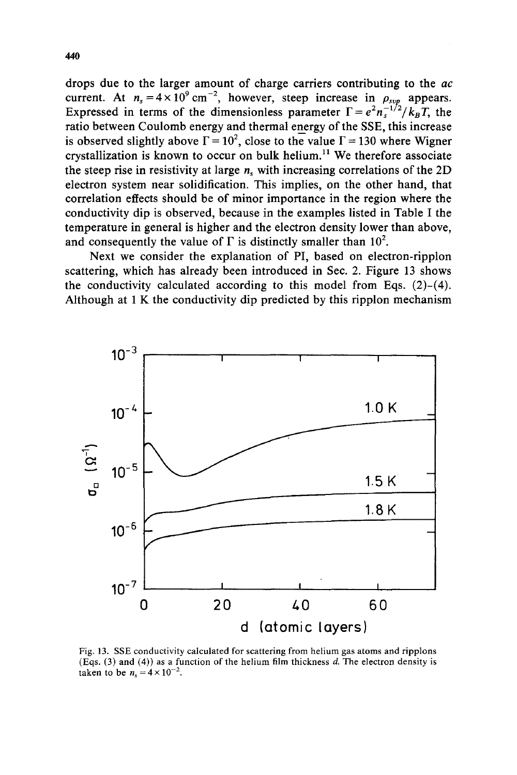drops due to the larger amount of charge carriers contributing to the *ac*  current. At  $n_s = 4 \times 10^9 \text{ cm}^{-2}$ , however, steep increase in  $\rho_{svp}$  appears. Expressed in terms of the dimensionless parameter  $\Gamma = e^2 n_s^{-1/2}/k_B T$ , the ratio between Coulomb energy and thermal energy of the SSE, this increase is observed slightly above  $\Gamma = 10^2$ , close to the value  $\Gamma = 130$  where Wigner crystallization is known to occur on bulk helium.<sup>11</sup> We therefore associate the steep rise in resistivity at large  $n_s$  with increasing correlations of the 2D electron system near solidification. This implies, on the other hand, that correlation effects should be of minor importance in the region where the conductivity dip is observed, because in the examples listed in Table I the temperature in general is higher and the electron density lower than above, and consequently the value of  $\Gamma$  is distinctly smaller than 10<sup>2</sup>.

Next we consider the explanation of PI, based on electron-ripplon scattering, which has already been introduced in Sec. 2. Figure 13 shows the conductivity calculated according to this model from Eqs.  $(2)-(4)$ . Although at 1 K the conductivity dip predicted by this ripplon mechanism



Fig. 13. SSE conductivity calculated for scattering from helium gas atoms and ripplons (Eqs.  $(3)$  and  $(4)$ ) as a function of the helium film thickness d. The electron density is taken to be  $n_s = 4 \times 10^{-2}$ .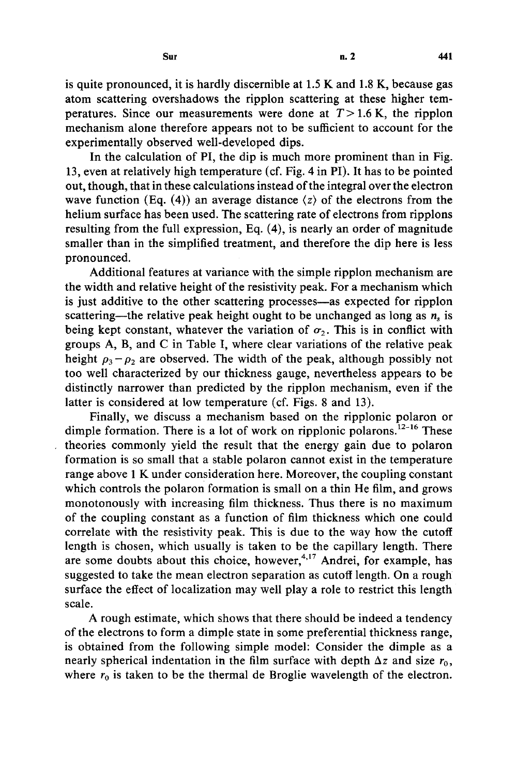is quite pronounced, it is hardly discernible at 1.5 K and 1.8 K, because gas atom scattering overshadows the ripplon scattering at these higher temperatures. Since our measurements were done at  $T > 1.6$  K, the ripplon mechanism alone therefore appears not to be sufficient to account for the experimentally observed well-developed dips.

In the calculation of PI, the dip is much more prominent than in Fig. 13, even at relatively high temperature (cf. Fig. 4 in PI). It has to be pointed out, though, that in these calculations instead of the integral over the electron wave function (Eq. (4)) an average distance  $\langle z \rangle$  of the electrons from the helium surface has been used. The scattering rate of electrons from ripplons resulting from the full expression, Eq. (4), is nearly an order of magnitude smaller than in the simplified treatment, and therefore the dip here is less pronounced.

Additional features at variance with the simple ripplon mechanism are the width and relative height of the resistivity peak. For a mechanism which is just additive to the other scattering processes—as expected for ripplon scattering—the relative peak height ought to be unchanged as long as  $n<sub>s</sub>$  is being kept constant, whatever the variation of  $\sigma_2$ . This is in conflict with groups A, B, and C in Table I, where clear variations of the relative peak height  $p_3 - p_2$  are observed. The width of the peak, although possibly not too well characterized by our thickness gauge, nevertheless appears to be distinctly narrower than predicted by the ripplon mechanism, even if the latter is considered at low temperature (cf. Figs. 8 and 13).

Finally, we discuss a mechanism based on the ripplonic polaron or dimple formation. There is a lot of work on ripplonic polarons.<sup>12-16</sup> These theories commonly yield the result that the energy gain due to polaron formation is so small that a stable polaron cannot exist in the temperature range above 1 K under consideration here. Moreover, the coupling constant which controls the polaron formation is small on a thin He film, and grows monotonously with increasing film thickness. Thus there is no maximum of the coupling constant as a function of film thickness which one could correlate with the resistivity peak. This is due to the way how the cutoff length is chosen, which usually is taken to be the capillary length. There are some doubts about this choice, however,<sup>4,17</sup> Andrei, for example, has suggested to take the mean electron separation as cutoff length. On a rough surface the effect of localization may well play a role to restrict this length scale.

A rough estimate, which shows that there should be indeed a tendency of the electrons to form a dimple state in some preferential thickness range, is obtained from the following simple model: Consider the dimple as a nearly spherical indentation in the film surface with depth  $\Delta z$  and size  $r_0$ , where  $r_0$  is taken to be the thermal de Broglie wavelength of the electron.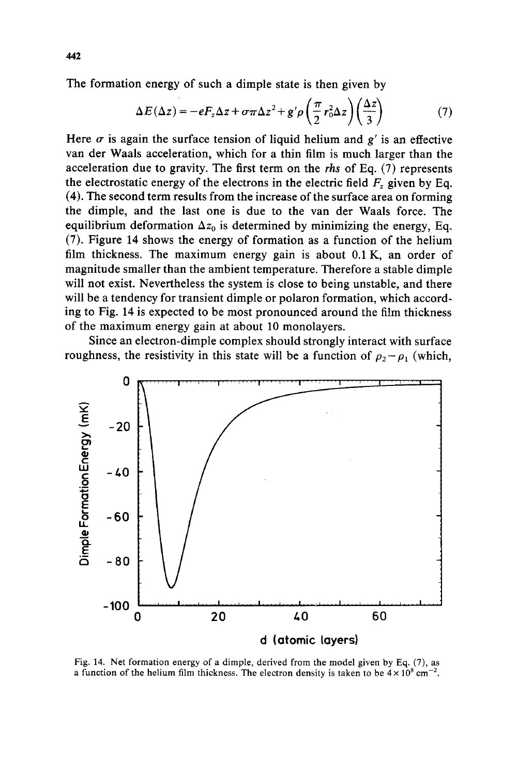The formation energy of such a dimple state is then given by

$$
\Delta E(\Delta z) = -eF_z \Delta z + \sigma \pi \Delta z^2 + g' \rho \left(\frac{\pi}{2} r_0^2 \Delta z\right) \left(\frac{\Delta z}{3}\right)
$$
(7)

Here  $\sigma$  is again the surface tension of liquid helium and  $g'$  is an effective van der Waals acceleration, which for a thin film is much larger than the acceleration due to gravity. The first term on the *rhs* of Eq. (7) represents the electrostatic energy of the electrons in the electric field  $F<sub>z</sub>$  given by Eq. (4). The second term results from the increase of the surface area on forming the dimple, and the last one is due to the van der Waals force. The equilibrium deformation  $\Delta z_0$  is determined by minimizing the energy, Eq. (7). Figure 14 shows the energy of formation as a function of the helium film thickness. The maximum energy gain is about 0.1 K, an order of magnitude smaller than the ambient temperature. Therefore a stable dimple will not exist. Nevertheless the system is close to being unstable, and there will be a tendency for transient dimple or polaron formation, which according to Fig. 14 is expected to be most pronounced around the film thickness of the maximum energy gain at about 10 monolayers.

Since an electron-dimple complex should strongly interact with surface roughness, the resistivity in this state will be a function of  $\rho_2 - \rho_1$  (which,



Fig. 14. Net formation energy of a dimple, derived from the model given by Eq. (7), as a function of the helium film thickness. The electron density is taken to be  $4 \times 10^8$  cm<sup>-2</sup>.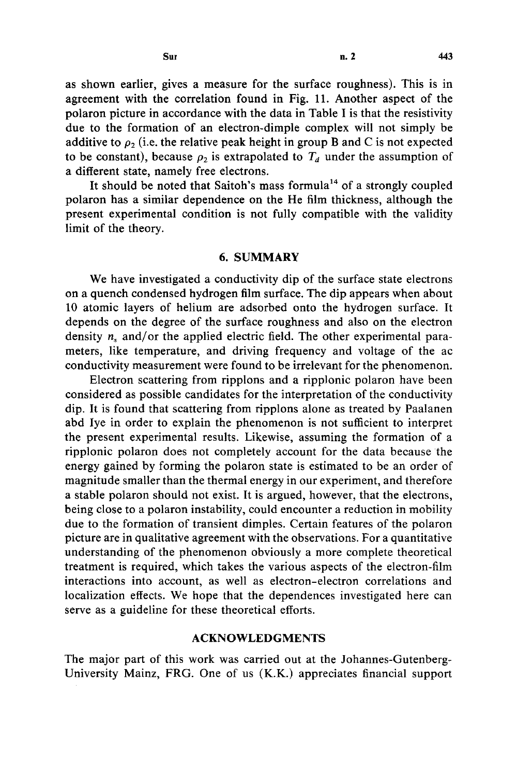as shown earlier, gives a measure for the surface roughness). This is in agreement with the correlation found in Fig. 11. Another aspect of the polaron picture in accordance with the data in Table I is that the resistivity due to the formation of an electron-dimple complex will not simply be additive to  $\rho_2$  (i.e. the relative peak height in group B and C is not expected to be constant), because  $\rho_2$  is extrapolated to  $T_d$  under the assumption of a different state, namely free electrons.

It should be noted that Saitoh's mass formula<sup>14</sup> of a strongly coupled polaron has a similar dependence on the He film thickness, although the present experimental condition is not fully compatible with the validity limit of the theory.

## **6. SUMMARY**

We have investigated a conductivity dip of the surface state electrons on a quench condensed hydrogen film surface. The dip appears when about 10 atomic layers of helium are adsorbed onto the hydrogen surface. It depends on the degree of the surface roughness and also on the electron density  $n<sub>s</sub>$  and/or the applied electric field. The other experimental parameters, like temperature, and driving frequency and voltage of the ac conductivity measurement were found to be irrelevant for the phenomenon.

Electron scattering from ripplons and a ripplonic polaron have been considered as possible candidates for the interpretation of the conductivity dip. It is found that scattering from ripplons alone as treated by Paalanen abd lye in order to explain the phenomenon is not sufficient to interpret the present experimental results. Likewise, assuming the formation of a ripplonic polaron does not completely account for the data because the energy gained by forming the polaron state is estimated to be an order of magnitude smaller than the thermal energy in our experiment, and therefore a stable polaron should not exist. It is argued, however, that the electrons, being close to a polaron instability, could encounter a reduction in mobility due to the formation of transient dimples. Certain features of the polaron picture are in qualitative agreement with the observations. For a quantitative understanding of the phenomenon obviously a more complete theoretical treatment is required, which takes the various aspects of the electron-film interactions into account, as well as electron-electron correlations and localization effects. We hope that the dependences investigated here can serve as a guideline for these theoretical efforts.

## ACKNOWLEDGMENTS

The major part of this work was carried out at the Johannes-Gutenberg-University Mainz, FRG. One of us (K.K.) appreciates financial support